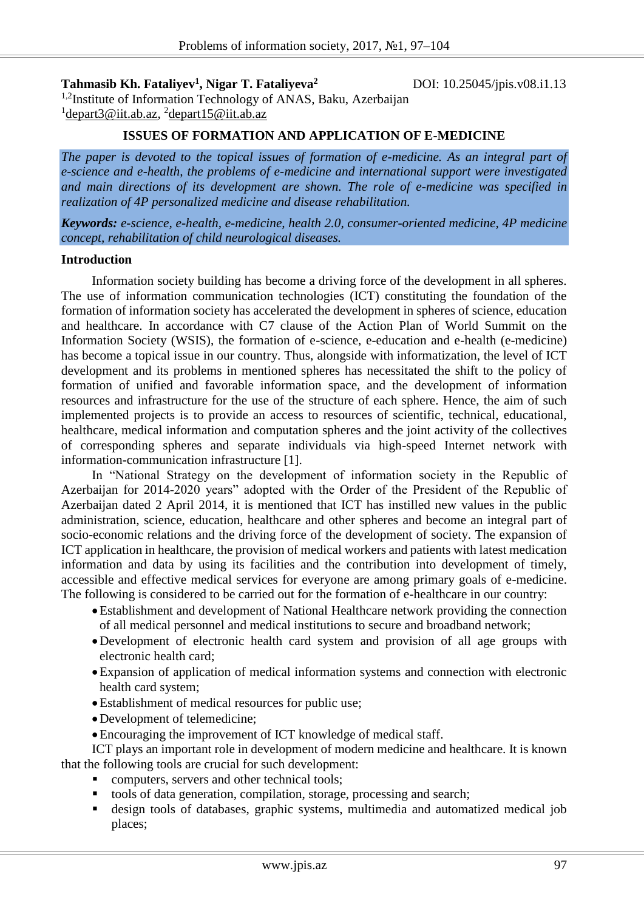**Tahmasib Kh. Fataliyev<sup>1</sup> , Nigar T. Fataliyeva<sup>2</sup>**

DOI: 10.25045/jpis.v08.i1.13

<sup>1,2</sup>Institute of Information Technology of ANAS, Baku, Azerbaijan <sup>1</sup>depart3@iit.ab.az, <sup>2</sup>depart15@iit.ab.az

## **ISSUES OF FORMATION AND APPLICATION OF E-MEDICINE**

*The paper is devoted to the topical issues of formation of e-medicine. As an integral part of e-science and e-health, the problems of e-medicine and international support were investigated and main directions of its development are shown. The role of e-medicine was specified in realization of 4P personalized medicine and disease rehabilitation.* 

*Keywords: e-science, e-health, e-medicine, health 2.0, consumer-oriented medicine, 4P medicine concept, rehabilitation of child neurological diseases.* 

### **Introduction**

Information society building has become a driving force of the development in all spheres. The use of information communication technologies (ICT) constituting the foundation of the formation of information society has accelerated the development in spheres of science, education and healthcare. In accordance with C7 clause of the Action Plan of World Summit on the Information Society (WSIS), the formation of e-science, e-education and e-health (e-medicine) has become a topical issue in our country. Thus, alongside with informatization, the level of ICT development and its problems in mentioned spheres has necessitated the shift to the policy of formation of unified and favorable information space, and the development of information resources and infrastructure for the use of the structure of each sphere. Hence, the aim of such implemented projects is to provide an access to resources of scientific, technical, educational, healthcare, medical information and computation spheres and the joint activity of the collectives of corresponding spheres and separate individuals via high-speed Internet network with information-communication infrastructure [1].

In "National Strategy on the development of information society in the Republic of Azerbaijan for 2014-2020 years" adopted with the Order of the President of the Republic of Azerbaijan dated 2 April 2014, it is mentioned that ICT has instilled new values in the public administration, science, education, healthcare and other spheres and become an integral part of socio-economic relations and the driving force of the development of society. The expansion of ICT application in healthcare, the provision of medical workers and patients with latest medication information and data by using its facilities and the contribution into development of timely, accessible and effective medical services for everyone are among primary goals of e-medicine. The following is considered to be carried out for the formation of e-healthcare in our country:

- Establishment and development of National Healthcare network providing the connection of all medical personnel and medical institutions to secure and broadband network;
- Development of electronic health card system and provision of all age groups with electronic health card;
- Expansion of application of medical information systems and connection with electronic health card system;
- Establishment of medical resources for public use;
- Development of telemedicine;
- Encouraging the improvement of ICT knowledge of medical staff.

ICT plays an important role in development of modern medicine and healthcare. It is known that the following tools are crucial for such development:

- computers, servers and other technical tools;
- tools of data generation, compilation, storage, processing and search;
- design tools of databases, graphic systems, multimedia and automatized medical job places;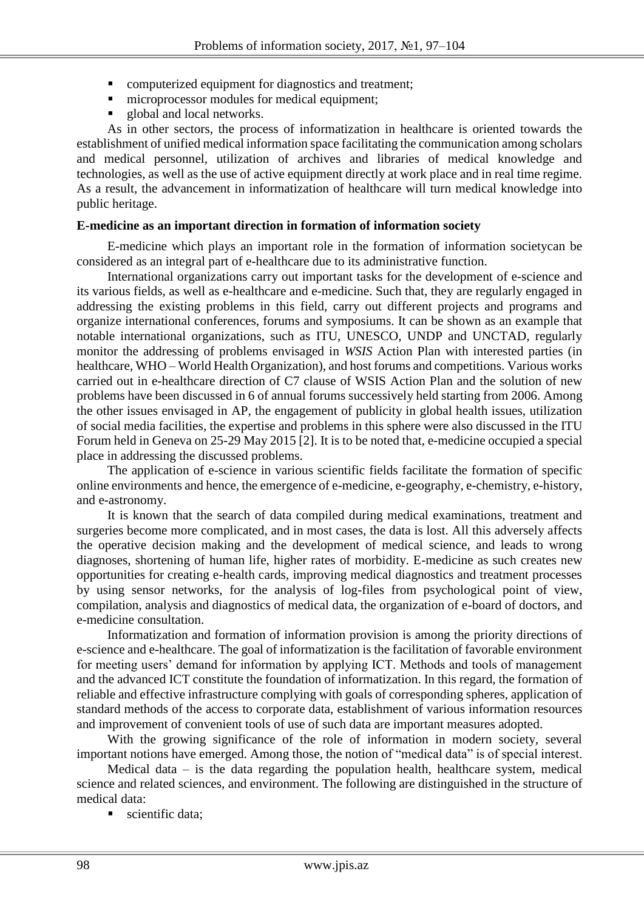- **•** computerized equipment for diagnostics and treatment;
- microprocessor modules for medical equipment;
- global and local networks.

As in other sectors, the process of informatization in healthcare is oriented towards the establishment of unified medical information space facilitating the communication among scholars and medical personnel, utilization of archives and libraries of medical knowledge and technologies, as well as the use of active equipment directly at work place and in real time regime. As a result, the advancement in informatization of healthcare will turn medical knowledge into public heritage.

## **E-medicine as an important direction in formation of information society**

E-medicine which plays an important role in the formation of information societycan be considered as an integral part of e-healthcare due to its administrative function.

International organizations carry out important tasks for the development of e-science and its various fields, as well as e-healthcare and e-medicine. Such that, they are regularly engaged in addressing the existing problems in this field, carry out different projects and programs and organize international conferences, forums and symposiums. It can be shown as an example that notable international organizations, such as ITU, UNESCO, UNDP and UNCTAD, regularly monitor the addressing of problems envisaged in *WSIS* Action Plan with interested parties (in healthcare, WHO – World Health Organization), and host forums and competitions. Various works carried out in e-healthcare direction of C7 clause of WSIS Action Plan and the solution of new problems have been discussed in 6 of annual forums successively held starting from 2006. Among the other issues envisaged in AP, the engagement of publicity in global health issues, utilization of social media facilities, the expertise and problems in this sphere were also discussed in the ITU Forum held in Geneva on 25-29 May 2015 [2]. It is to be noted that, e-medicine occupied a special place in addressing the discussed problems.

The application of e-science in various scientific fields facilitate the formation of specific online environments and hence, the emergence of e-medicine, e-geography, e-chemistry, e-history, and e-astronomy.

It is known that the search of data compiled during medical examinations, treatment and surgeries become more complicated, and in most cases, the data is lost. All this adversely affects the operative decision making and the development of medical science, and leads to wrong diagnoses, shortening of human life, higher rates of morbidity. E-medicine as such creates new opportunities for creating e-health cards, improving medical diagnostics and treatment processes by using sensor networks, for the analysis of log-files from psychological point of view, compilation, analysis and diagnostics of medical data, the organization of e-board of doctors, and e-medicine consultation.

Informatization and formation of information provision is among the priority directions of e-science and e-healthcare. The goal of informatization is the facilitation of favorable environment for meeting users' demand for information by applying ICT. Methods and tools of management and the advanced ICT constitute the foundation of informatization. In this regard, the formation of reliable and effective infrastructure complying with goals of corresponding spheres, application of standard methods of the access to corporate data, establishment of various information resources and improvement of convenient tools of use of such data are important measures adopted.

With the growing significance of the role of information in modern society, several important notions have emerged. Among those, the notion of "medical data" is of special interest.

Medical data  $-$  is the data regarding the population health, healthcare system, medical science and related sciences, and environment. The following are distinguished in the structure of medical data:

scientific data;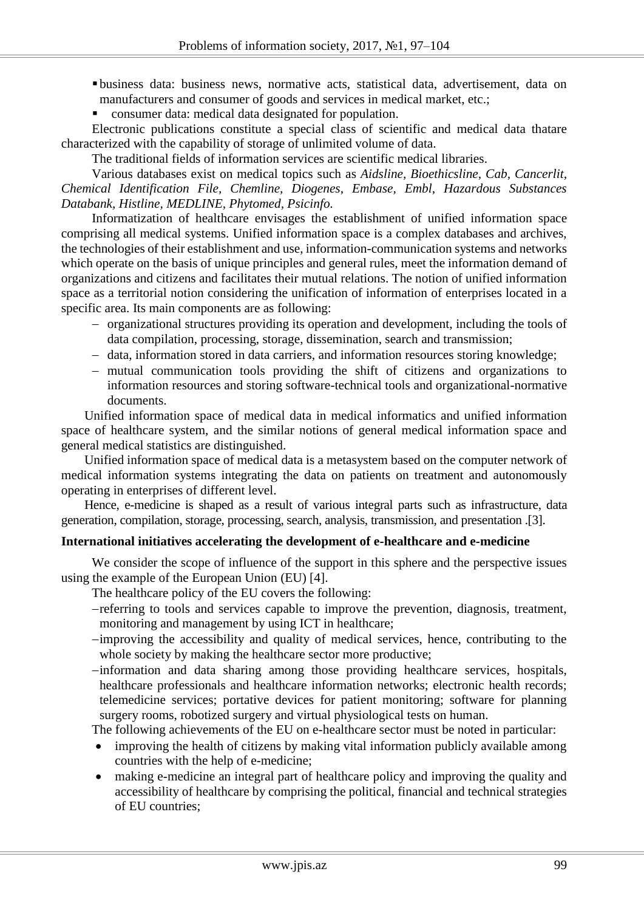- business data: business news, normative acts, statistical data, advertisement, data on manufacturers and consumer of goods and services in medical market, etc.;
- consumer data: medical data designated for population.

Electronic publications constitute a special class of scientific and medical data thatare characterized with the capability of storage of unlimited volume of data.

The traditional fields of information services are scientific medical libraries.

Various databases exist on medical topics such as *Aidsline, Bioethicsline, Cab, Cancerlit, Chemical Identification File, Chemline, Diogenes, Embase, Embl, Hazardous Substances Databank, Histline, MEDLINE, Phytomed, Psicinfo.* 

Informatization of healthcare envisages the establishment of unified information space comprising all medical systems. Unified information space is a complex databases and archives, the technologies of their establishment and use, information-communication systems and networks which operate on the basis of unique principles and general rules, meet the information demand of organizations and citizens and facilitates their mutual relations. The notion of unified information space as a territorial notion considering the unification of information of enterprises located in a specific area. Its main components are as following:

- organizational structures providing its operation and development, including the tools of data compilation, processing, storage, dissemination, search and transmission;
- data, information stored in data carriers, and information resources storing knowledge;
- mutual communication tools providing the shift of citizens and organizations to information resources and storing software-technical tools and organizational-normative documents.

Unified information space of medical data in medical informatics and unified information space of healthcare system, and the similar notions of general medical information space and general medical statistics are distinguished.

Unified information space of medical data is a metasystem based on the computer network of medical information systems integrating the data on patients on treatment and autonomously operating in enterprises of different level.

Hence, e-medicine is shaped as a result of various integral parts such as infrastructure, data generation, compilation, storage, processing, search, analysis, transmission, and presentation .[3].

### **International initiatives accelerating the development of e-healthcare and e-medicine**

We consider the scope of influence of the support in this sphere and the perspective issues using the example of the European Union (EU) [4].

The healthcare policy of the EU covers the following:

- referring to tools and services capable to improve the prevention, diagnosis, treatment, monitoring and management by using ICT in healthcare;
- improving the accessibility and quality of medical services, hence, contributing to the whole society by making the healthcare sector more productive;
- information and data sharing among those providing healthcare services, hospitals, healthcare professionals and healthcare information networks; electronic health records; telemedicine services; portative devices for patient monitoring; software for planning surgery rooms, robotized surgery and virtual physiological tests on human.

The following achievements of the EU on e-healthcare sector must be noted in particular:

- improving the health of citizens by making vital information publicly available among countries with the help of e-medicine;
- making e-medicine an integral part of healthcare policy and improving the quality and accessibility of healthcare by comprising the political, financial and technical strategies of EU countries;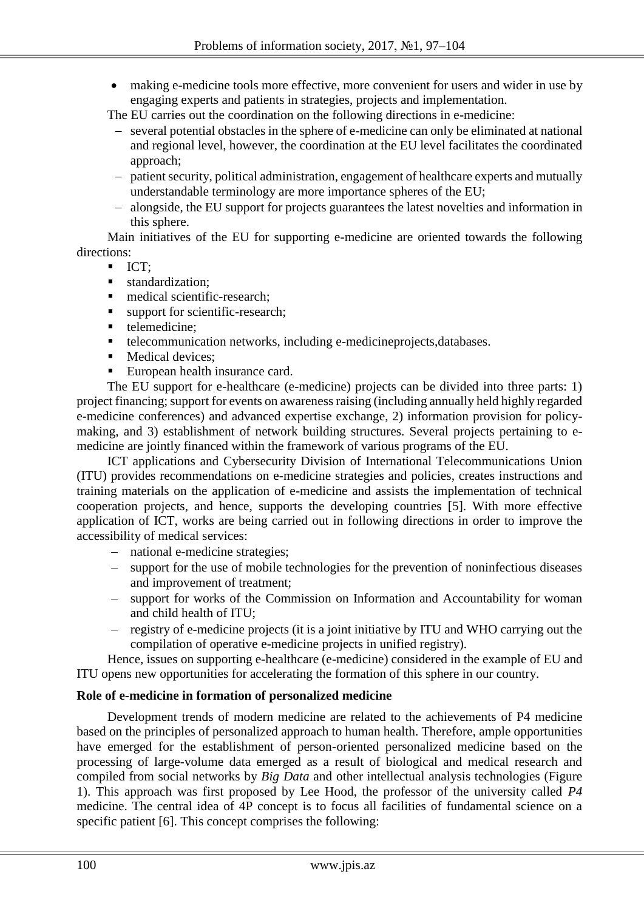making e-medicine tools more effective, more convenient for users and wider in use by engaging experts and patients in strategies, projects and implementation.

The EU carries out the coordination on the following directions in e-medicine:

- several potential obstacles in the sphere of e-medicine can only be eliminated at national and regional level, however, the coordination at the EU level facilitates the coordinated approach;
- patient security, political administration, engagement of healthcare experts and mutually understandable terminology are more importance spheres of the EU;
- alongside, the EU support for projects guarantees the latest novelties and information in this sphere.

Main initiatives of the EU for supporting e-medicine are oriented towards the following directions:

- $ICT$ :
- standardization:
- medical scientific-research;
- support for scientific-research;
- telemedicine;
- telecommunication networks, including e-medicineprojects,databases.
- Medical devices;
- European health insurance card.

The EU support for e-healthcare (e-medicine) projects can be divided into three parts: 1) project financing; support for events on awareness raising (including annually held highly regarded e-medicine conferences) and advanced expertise exchange, 2) information provision for policymaking, and 3) establishment of network building structures. Several projects pertaining to emedicine are jointly financed within the framework of various programs of the EU.

ICT applications and Cybersecurity Division of International Telecommunications Union (ITU) provides recommendations on e-medicine strategies and policies, creates instructions and training materials on the application of e-medicine and assists the implementation of technical cooperation projects, and hence, supports the developing countries [5]. With more effective application of ICT, works are being carried out in following directions in order to improve the accessibility of medical services:

- national e-medicine strategies:
- support for the use of mobile technologies for the prevention of noninfectious diseases and improvement of treatment;
- support for works of the Commission on Information and Accountability for woman and child health of ITU;
- registry of e-medicine projects (it is a joint initiative by ITU and WHO carrying out the compilation of operative e-medicine projects in unified registry).

Hence, issues on supporting e-healthcare (e-medicine) considered in the example of EU and ITU opens new opportunities for accelerating the formation of this sphere in our country.

## **Role of e-medicine in formation of personalized medicine**

Development trends of modern medicine are related to the achievements of P4 medicine based on the principles of personalized approach to human health. Therefore, ample opportunities have emerged for the establishment of person-oriented personalized medicine based on the processing of large-volume data emerged as a result of biological and medical research and compiled from social networks by *Big Data* and other intellectual analysis technologies (Figure 1). This approach was first proposed by Lee Hood, the professor of the university called *P4* medicine. The central idea of 4P concept is to focus all facilities of fundamental science on a specific patient [6]. This concept comprises the following: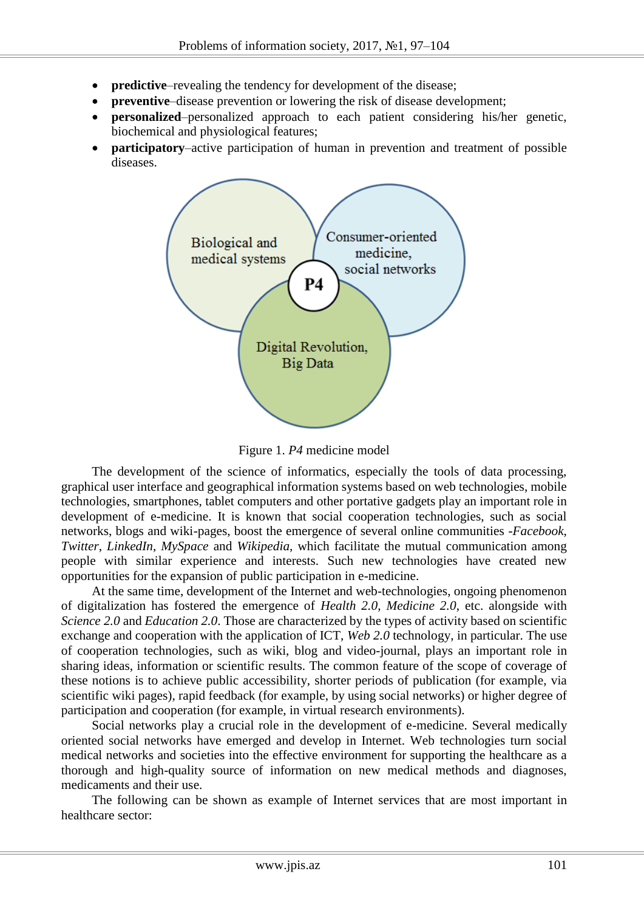- **predictive–revealing the tendency for development of the disease;**
- **preventive–disease** prevention or lowering the risk of disease development;
- **• personalized**–personalized approach to each patient considering his/her genetic, biochemical and physiological features;
- **participatory–active participation of human in prevention and treatment of possible** diseases.



Figure 1. *P4* medicine model

The development of the science of informatics, especially the tools of data processing, graphical user interface and geographical information systems based on web technologies, mobile technologies, smartphones, tablet computers and other portative gadgets play an important role in development of e-medicine. It is known that social cooperation technologies, such as social networks, blogs and wiki-pages, boost the emergence of several online communities -*Facebook*, *Twitter*, *LinkedIn*, *MySpace* and *Wikipedia,* which facilitate the mutual communication among people with similar experience and interests. Such new technologies have created new opportunities for the expansion of public participation in e-medicine.

At the same time, development of the Internet and web-technologies, ongoing phenomenon of digitalization has fostered the emergence of *Health 2.0*, *Medicine 2.0*, etc. alongside with *Science 2.0* and *Education 2.0*. Those are characterized by the types of activity based on scientific exchange and cooperation with the application of ICT, *Web 2.0* technology, in particular. The use of cooperation technologies, such as wiki, blog and video-journal, plays an important role in sharing ideas, information or scientific results. The common feature of the scope of coverage of these notions is to achieve public accessibility, shorter periods of publication (for example, via scientific wiki pages), rapid feedback (for example, by using social networks) or higher degree of participation and cooperation (for example, in virtual research environments).

Social networks play a crucial role in the development of e-medicine. Several medically oriented social networks have emerged and develop in Internet. Web technologies turn social medical networks and societies into the effective environment for supporting the healthcare as a thorough and high-quality source of information on new medical methods and diagnoses, medicaments and their use.

The following can be shown as example of Internet services that are most important in healthcare sector: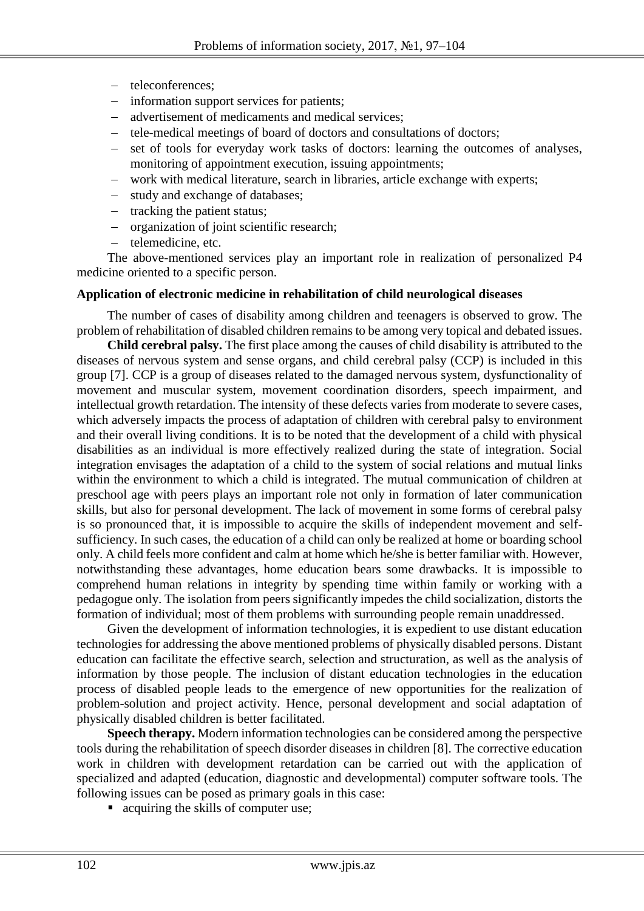- teleconferences:
- information support services for patients;
- advertisement of medicaments and medical services:
- tele-medical meetings of board of doctors and consultations of doctors;
- set of tools for everyday work tasks of doctors: learning the outcomes of analyses, monitoring of appointment execution, issuing appointments;
- work with medical literature, search in libraries, article exchange with experts;
- study and exchange of databases;
- tracking the patient status;
- organization of joint scientific research;
- telemedicine, etc.

The above-mentioned services play an important role in realization of personalized P4 medicine oriented to a specific person.

## **Application of electronic medicine in rehabilitation of child neurological diseases**

The number of cases of disability among children and teenagers is observed to grow. The problem of rehabilitation of disabled children remains to be among very topical and debated issues.

**Child cerebral palsy.** The first place among the causes of child disability is attributed to the diseases of nervous system and sense organs, and child cerebral palsy (CCP) is included in this group [7]. CCP is a group of diseases related to the damaged nervous system, dysfunctionality of movement and muscular system, movement coordination disorders, speech impairment, and intellectual growth retardation. The intensity of these defects varies from moderate to severe cases, which adversely impacts the process of adaptation of children with cerebral palsy to environment and their overall living conditions. It is to be noted that the development of a child with physical disabilities as an individual is more effectively realized during the state of integration. Social integration envisages the adaptation of a child to the system of social relations and mutual links within the environment to which a child is integrated. The mutual communication of children at preschool age with peers plays an important role not only in formation of later communication skills, but also for personal development. The lack of movement in some forms of cerebral palsy is so pronounced that, it is impossible to acquire the skills of independent movement and selfsufficiency. In such cases, the education of a child can only be realized at home or boarding school only. A child feels more confident and calm at home which he/she is better familiar with. However, notwithstanding these advantages, home education bears some drawbacks. It is impossible to comprehend human relations in integrity by spending time within family or working with a pedagogue only. The isolation from peers significantly impedes the child socialization, distorts the formation of individual; most of them problems with surrounding people remain unaddressed.

Given the development of information technologies, it is expedient to use distant education technologies for addressing the above mentioned problems of physically disabled persons. Distant education can facilitate the effective search, selection and structuration, as well as the analysis of information by those people. The inclusion of distant education technologies in the education process of disabled people leads to the emergence of new opportunities for the realization of problem-solution and project activity. Hence, personal development and social adaptation of physically disabled children is better facilitated.

**Speech therapy.** Modern information technologies can be considered among the perspective tools during the rehabilitation of speech disorder diseases in children [8]. The corrective education work in children with development retardation can be carried out with the application of specialized and adapted (education, diagnostic and developmental) computer software tools. The following issues can be posed as primary goals in this case:

• acquiring the skills of computer use;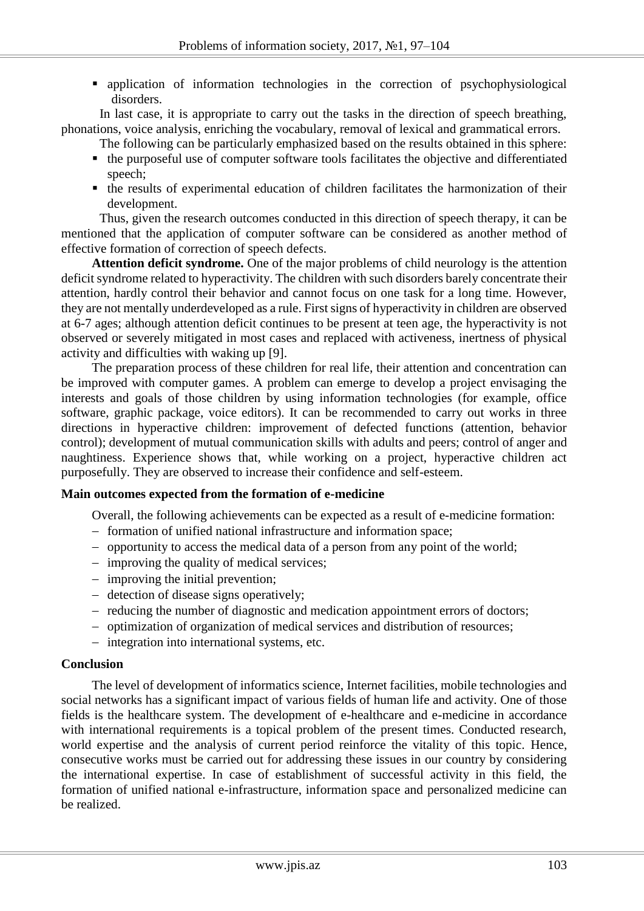application of information technologies in the correction of psychophysiological disorders.

In last case, it is appropriate to carry out the tasks in the direction of speech breathing, phonations, voice analysis, enriching the vocabulary, removal of lexical and grammatical errors.

- The following can be particularly emphasized based on the results obtained in this sphere:
- the purposeful use of computer software tools facilitates the objective and differentiated speech;
- the results of experimental education of children facilitates the harmonization of their development.

Thus, given the research outcomes conducted in this direction of speech therapy, it can be mentioned that the application of computer software can be considered as another method of effective formation of correction of speech defects.

**Attention deficit syndrome.** One of the major problems of child neurology is the attention deficit syndrome related to hyperactivity. The children with such disorders barely concentrate their attention, hardly control their behavior and cannot focus on one task for a long time. However, they are not mentally underdeveloped as a rule. First signs of hyperactivity in children are observed at 6-7 ages; although attention deficit continues to be present at teen age, the hyperactivity is not observed or severely mitigated in most cases and replaced with activeness, inertness of physical activity and difficulties with waking up [9].

The preparation process of these children for real life, their attention and concentration can be improved with computer games. A problem can emerge to develop a project envisaging the interests and goals of those children by using information technologies (for example, office software, graphic package, voice editors). It can be recommended to carry out works in three directions in hyperactive children: improvement of defected functions (attention, behavior control); development of mutual communication skills with adults and peers; control of anger and naughtiness. Experience shows that, while working on a project, hyperactive children act purposefully. They are observed to increase their confidence and self-esteem.

### **Main outcomes expected from the formation of e-medicine**

Overall, the following achievements can be expected as a result of e-medicine formation:

- formation of unified national infrastructure and information space;
- opportunity to access the medical data of a person from any point of the world;
- $\overline{\phantom{a}}$  improving the quality of medical services;
- improving the initial prevention;
- detection of disease signs operatively;
- reducing the number of diagnostic and medication appointment errors of doctors;
- optimization of organization of medical services and distribution of resources;
- integration into international systems, etc.

### **Conclusion**

The level of development of informatics science, Internet facilities, mobile technologies and social networks has a significant impact of various fields of human life and activity. One of those fields is the healthcare system. The development of e-healthcare and e-medicine in accordance with international requirements is a topical problem of the present times. Conducted research, world expertise and the analysis of current period reinforce the vitality of this topic. Hence, consecutive works must be carried out for addressing these issues in our country by considering the international expertise. In case of establishment of successful activity in this field, the formation of unified national e-infrastructure, information space and personalized medicine can be realized.